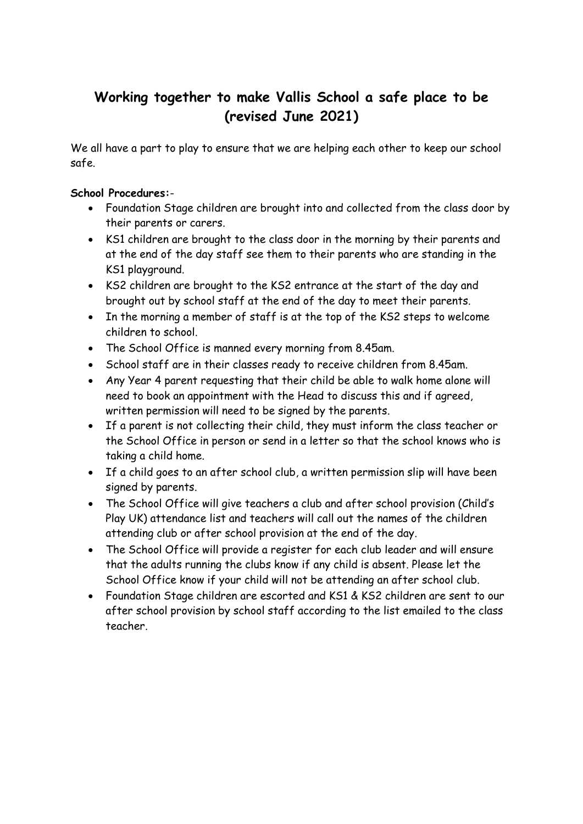## **Working together to make Vallis School a safe place to be (revised June 2021)**

We all have a part to play to ensure that we are helping each other to keep our school safe.

## **School Procedures:**-

- Foundation Stage children are brought into and collected from the class door by their parents or carers.
- KS1 children are brought to the class door in the morning by their parents and at the end of the day staff see them to their parents who are standing in the KS1 playground.
- KS2 children are brought to the KS2 entrance at the start of the day and brought out by school staff at the end of the day to meet their parents.
- In the morning a member of staff is at the top of the KS2 steps to welcome children to school.
- The School Office is manned every morning from 8.45am.
- School staff are in their classes ready to receive children from 8.45am.
- Any Year 4 parent requesting that their child be able to walk home alone will need to book an appointment with the Head to discuss this and if agreed, written permission will need to be signed by the parents.
- If a parent is not collecting their child, they must inform the class teacher or the School Office in person or send in a letter so that the school knows who is taking a child home.
- If a child goes to an after school club, a written permission slip will have been signed by parents.
- The School Office will give teachers a club and after school provision (Child's Play UK) attendance list and teachers will call out the names of the children attending club or after school provision at the end of the day.
- The School Office will provide a register for each club leader and will ensure that the adults running the clubs know if any child is absent. Please let the School Office know if your child will not be attending an after school club.
- Foundation Stage children are escorted and KS1 & KS2 children are sent to our after school provision by school staff according to the list emailed to the class teacher.